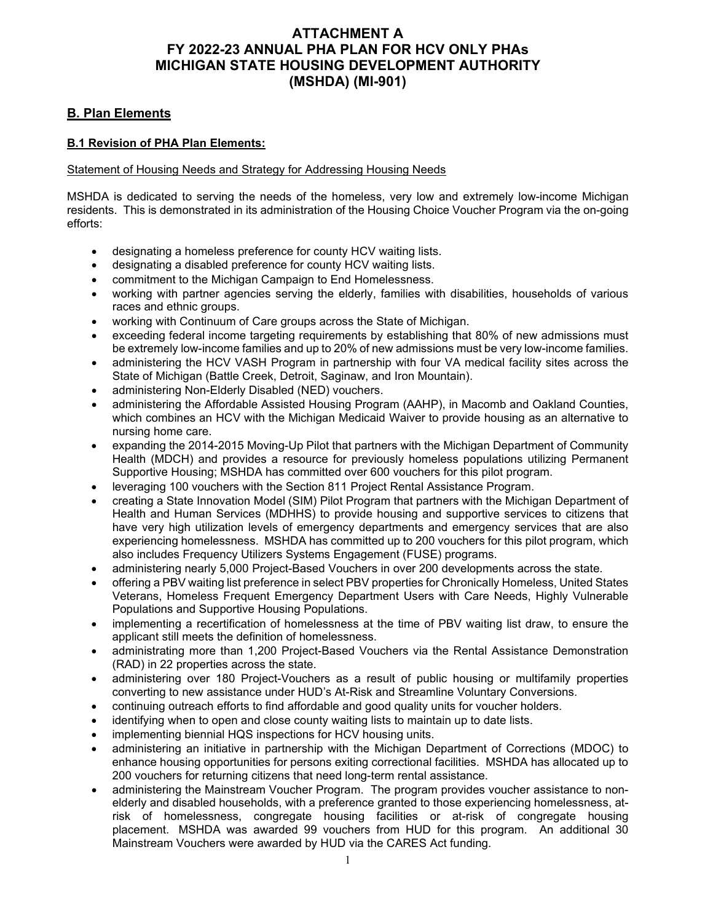# **ATTACHMENT A FY 2022-23 ANNUAL PHA PLAN FOR HCV ONLY PHAs MICHIGAN STATE HOUSING DEVELOPMENT AUTHORITY (MSHDA) (MI-901)**

# **B. Plan Elements**

# **B.1 Revision of PHA Plan Elements:**

# Statement of Housing Needs and Strategy for Addressing Housing Needs

MSHDA is dedicated to serving the needs of the homeless, very low and extremely low-income Michigan residents. This is demonstrated in its administration of the Housing Choice Voucher Program via the on-going efforts:

- designating a homeless preference for county HCV waiting lists.
- designating a disabled preference for county HCV waiting lists.
- commitment to the Michigan Campaign to End Homelessness.
- working with partner agencies serving the elderly, families with disabilities, households of various races and ethnic groups.
- working with Continuum of Care groups across the State of Michigan.
- exceeding federal income targeting requirements by establishing that 80% of new admissions must be extremely low-income families and up to 20% of new admissions must be very low-income families.
- administering the HCV VASH Program in partnership with four VA medical facility sites across the State of Michigan (Battle Creek, Detroit, Saginaw, and Iron Mountain).
- administering Non-Elderly Disabled (NED) vouchers.
- administering the Affordable Assisted Housing Program (AAHP), in Macomb and Oakland Counties, which combines an HCV with the Michigan Medicaid Waiver to provide housing as an alternative to nursing home care.
- expanding the 2014-2015 Moving-Up Pilot that partners with the Michigan Department of Community Health (MDCH) and provides a resource for previously homeless populations utilizing Permanent Supportive Housing; MSHDA has committed over 600 vouchers for this pilot program.
- leveraging 100 vouchers with the Section 811 Project Rental Assistance Program.
- creating a State Innovation Model (SIM) Pilot Program that partners with the Michigan Department of Health and Human Services (MDHHS) to provide housing and supportive services to citizens that have very high utilization levels of emergency departments and emergency services that are also experiencing homelessness. MSHDA has committed up to 200 vouchers for this pilot program, which also includes Frequency Utilizers Systems Engagement (FUSE) programs.
- administering nearly 5,000 Project-Based Vouchers in over 200 developments across the state.
- offering a PBV waiting list preference in select PBV properties for Chronically Homeless, United States Veterans, Homeless Frequent Emergency Department Users with Care Needs, Highly Vulnerable Populations and Supportive Housing Populations.
- implementing a recertification of homelessness at the time of PBV waiting list draw, to ensure the applicant still meets the definition of homelessness.
- administrating more than 1,200 Project-Based Vouchers via the Rental Assistance Demonstration (RAD) in 22 properties across the state.
- administering over 180 Project-Vouchers as a result of public housing or multifamily properties converting to new assistance under HUD's At-Risk and Streamline Voluntary Conversions.
- continuing outreach efforts to find affordable and good quality units for voucher holders.
- identifying when to open and close county waiting lists to maintain up to date lists.
- implementing biennial HQS inspections for HCV housing units.
- administering an initiative in partnership with the Michigan Department of Corrections (MDOC) to enhance housing opportunities for persons exiting correctional facilities. MSHDA has allocated up to 200 vouchers for returning citizens that need long-term rental assistance.
- administering the Mainstream Voucher Program. The program provides voucher assistance to nonelderly and disabled households, with a preference granted to those experiencing homelessness, atrisk of homelessness, congregate housing facilities or at-risk of congregate housing placement. MSHDA was awarded 99 vouchers from HUD for this program. An additional 30 Mainstream Vouchers were awarded by HUD via the CARES Act funding.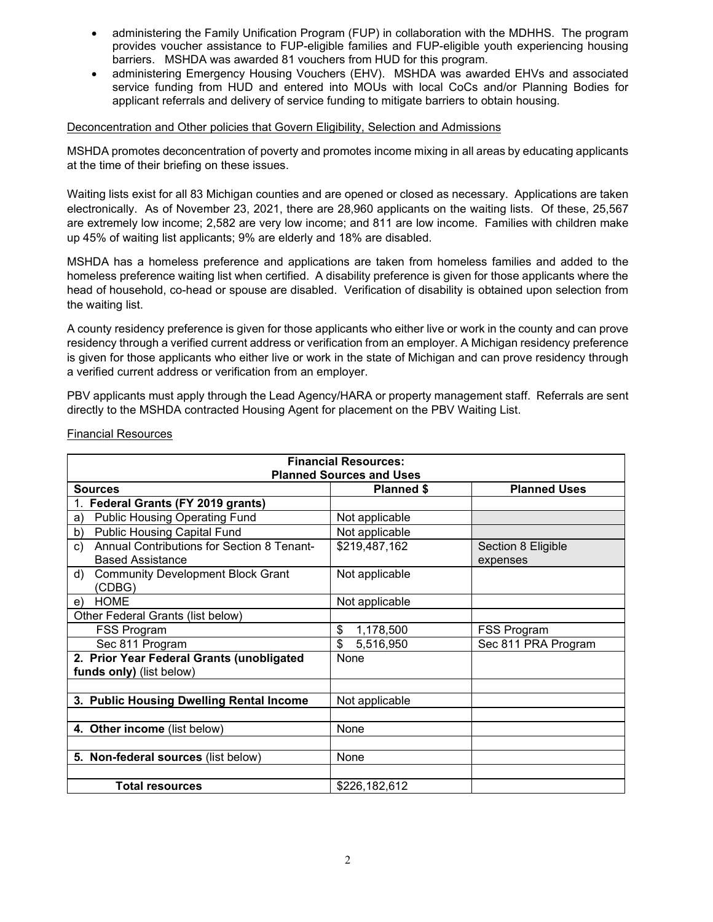- administering the Family Unification Program (FUP) in collaboration with the MDHHS. The program provides voucher assistance to FUP-eligible families and FUP-eligible youth experiencing housing barriers. MSHDA was awarded 81 vouchers from HUD for this program.
- administering Emergency Housing Vouchers (EHV). MSHDA was awarded EHVs and associated service funding from HUD and entered into MOUs with local CoCs and/or Planning Bodies for applicant referrals and delivery of service funding to mitigate barriers to obtain housing.

#### Deconcentration and Other policies that Govern Eligibility, Selection and Admissions

MSHDA promotes deconcentration of poverty and promotes income mixing in all areas by educating applicants at the time of their briefing on these issues.

Waiting lists exist for all 83 Michigan counties and are opened or closed as necessary. Applications are taken electronically. As of November 23, 2021, there are 28,960 applicants on the waiting lists. Of these, 25,567 are extremely low income; 2,582 are very low income; and 811 are low income. Families with children make up 45% of waiting list applicants; 9% are elderly and 18% are disabled.

MSHDA has a homeless preference and applications are taken from homeless families and added to the homeless preference waiting list when certified. A disability preference is given for those applicants where the head of household, co-head or spouse are disabled. Verification of disability is obtained upon selection from the waiting list.

A county residency preference is given for those applicants who either live or work in the county and can prove residency through a verified current address or verification from an employer. A Michigan residency preference is given for those applicants who either live or work in the state of Michigan and can prove residency through a verified current address or verification from an employer.

PBV applicants must apply through the Lead Agency/HARA or property management staff. Referrals are sent directly to the MSHDA contracted Housing Agent for placement on the PBV Waiting List.

| <b>Financial Resources:</b><br><b>Planned Sources and Uses</b>        |                   |                     |
|-----------------------------------------------------------------------|-------------------|---------------------|
| <b>Sources</b>                                                        | <b>Planned \$</b> | <b>Planned Uses</b> |
| Federal Grants (FY 2019 grants)                                       |                   |                     |
| <b>Public Housing Operating Fund</b><br>a)                            | Not applicable    |                     |
| <b>Public Housing Capital Fund</b><br>b)                              | Not applicable    |                     |
| Annual Contributions for Section 8 Tenant-<br>c)                      | \$219,487,162     | Section 8 Eligible  |
| <b>Based Assistance</b>                                               |                   | expenses            |
| <b>Community Development Block Grant</b><br>d)<br>(CDBG)              | Not applicable    |                     |
| <b>HOME</b><br>e)                                                     | Not applicable    |                     |
| Other Federal Grants (list below)                                     |                   |                     |
| FSS Program                                                           | \$<br>1,178,500   | <b>FSS Program</b>  |
| Sec 811 Program                                                       | \$<br>5,516,950   | Sec 811 PRA Program |
| 2. Prior Year Federal Grants (unobligated<br>funds only) (list below) | None              |                     |
| 3. Public Housing Dwelling Rental Income                              | Not applicable    |                     |
| 4. Other income (list below)                                          | None              |                     |
| 5. Non-federal sources (list below)                                   | None              |                     |
| <b>Total resources</b>                                                | \$226,182,612     |                     |

#### Financial Resources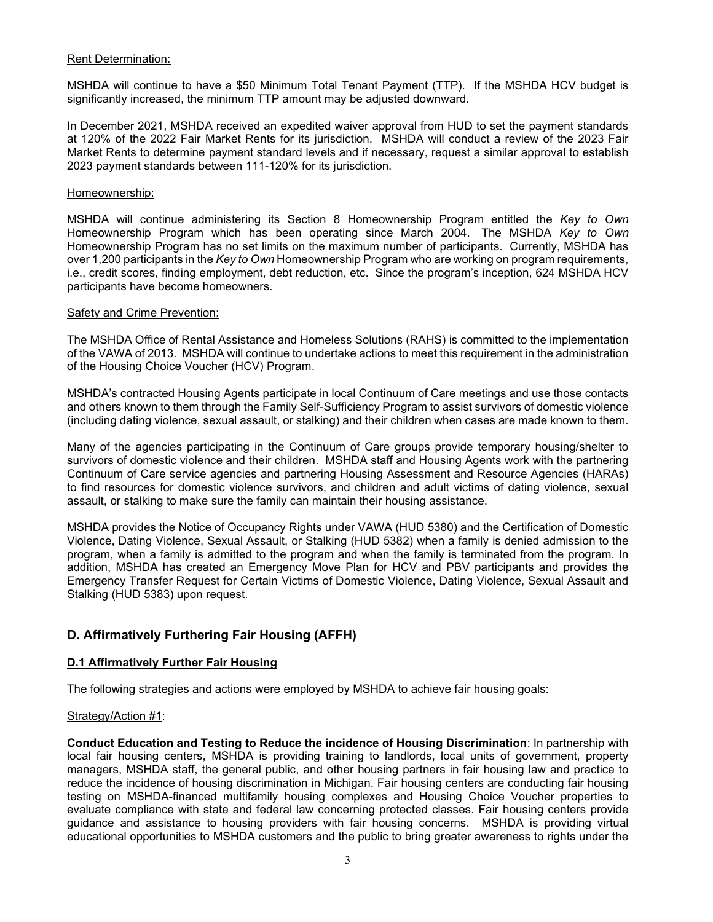## Rent Determination:

MSHDA will continue to have a \$50 Minimum Total Tenant Payment (TTP). If the MSHDA HCV budget is significantly increased, the minimum TTP amount may be adjusted downward.

In December 2021, MSHDA received an expedited waiver approval from HUD to set the payment standards at 120% of the 2022 Fair Market Rents for its jurisdiction. MSHDA will conduct a review of the 2023 Fair Market Rents to determine payment standard levels and if necessary, request a similar approval to establish 2023 payment standards between 111-120% for its jurisdiction.

#### Homeownership:

MSHDA will continue administering its Section 8 Homeownership Program entitled the *Key to Own* Homeownership Program which has been operating since March 2004. The MSHDA *Key to Own* Homeownership Program has no set limits on the maximum number of participants. Currently, MSHDA has over 1,200 participants in the *Key to Own* Homeownership Program who are working on program requirements, i.e., credit scores, finding employment, debt reduction, etc. Since the program's inception, 624 MSHDA HCV participants have become homeowners.

#### Safety and Crime Prevention:

The MSHDA Office of Rental Assistance and Homeless Solutions (RAHS) is committed to the implementation of the VAWA of 2013. MSHDA will continue to undertake actions to meet this requirement in the administration of the Housing Choice Voucher (HCV) Program.

MSHDA's contracted Housing Agents participate in local Continuum of Care meetings and use those contacts and others known to them through the Family Self-Sufficiency Program to assist survivors of domestic violence (including dating violence, sexual assault, or stalking) and their children when cases are made known to them.

Many of the agencies participating in the Continuum of Care groups provide temporary housing/shelter to survivors of domestic violence and their children. MSHDA staff and Housing Agents work with the partnering Continuum of Care service agencies and partnering Housing Assessment and Resource Agencies (HARAs) to find resources for domestic violence survivors, and children and adult victims of dating violence, sexual assault, or stalking to make sure the family can maintain their housing assistance.

MSHDA provides the Notice of Occupancy Rights under VAWA (HUD 5380) and the Certification of Domestic Violence, Dating Violence, Sexual Assault, or Stalking (HUD 5382) when a family is denied admission to the program, when a family is admitted to the program and when the family is terminated from the program. In addition, MSHDA has created an Emergency Move Plan for HCV and PBV participants and provides the Emergency Transfer Request for Certain Victims of Domestic Violence, Dating Violence, Sexual Assault and Stalking (HUD 5383) upon request.

# **D. Affirmatively Furthering Fair Housing (AFFH)**

## **D.1 Affirmatively Further Fair Housing**

The following strategies and actions were employed by MSHDA to achieve fair housing goals:

## Strategy/Action #1:

**Conduct Education and Testing to Reduce the incidence of Housing Discrimination**: In partnership with local fair housing centers, MSHDA is providing training to landlords, local units of government, property managers, MSHDA staff, the general public, and other housing partners in fair housing law and practice to reduce the incidence of housing discrimination in Michigan. Fair housing centers are conducting fair housing testing on MSHDA-financed multifamily housing complexes and Housing Choice Voucher properties to evaluate compliance with state and federal law concerning protected classes. Fair housing centers provide guidance and assistance to housing providers with fair housing concerns. MSHDA is providing virtual educational opportunities to MSHDA customers and the public to bring greater awareness to rights under the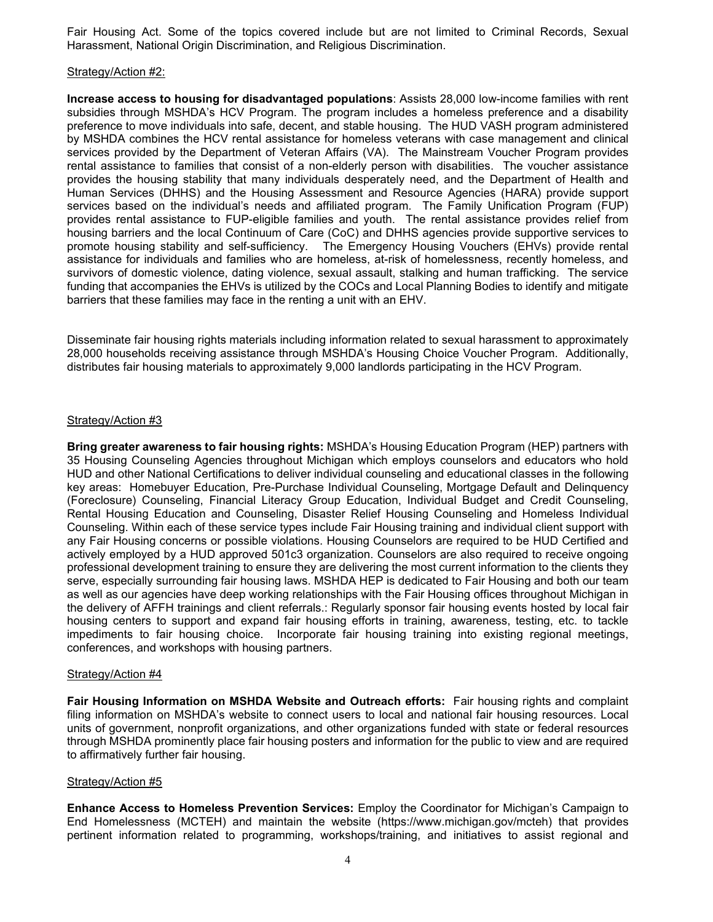Fair Housing Act. Some of the topics covered include but are not limited to Criminal Records, Sexual Harassment, National Origin Discrimination, and Religious Discrimination.

#### Strategy/Action #2:

**Increase access to housing for disadvantaged populations**: Assists 28,000 low-income families with rent subsidies through MSHDA's HCV Program. The program includes a homeless preference and a disability preference to move individuals into safe, decent, and stable housing. The HUD VASH program administered by MSHDA combines the HCV rental assistance for homeless veterans with case management and clinical services provided by the Department of Veteran Affairs (VA). The Mainstream Voucher Program provides rental assistance to families that consist of a non-elderly person with disabilities. The voucher assistance provides the housing stability that many individuals desperately need, and the Department of Health and Human Services (DHHS) and the Housing Assessment and Resource Agencies (HARA) provide support services based on the individual's needs and affiliated program. The Family Unification Program (FUP) provides rental assistance to FUP-eligible families and youth. The rental assistance provides relief from housing barriers and the local Continuum of Care (CoC) and DHHS agencies provide supportive services to promote housing stability and self-sufficiency. The Emergency Housing Vouchers (EHVs) provide rental assistance for individuals and families who are homeless, at-risk of homelessness, recently homeless, and survivors of domestic violence, dating violence, sexual assault, stalking and human trafficking. The service funding that accompanies the EHVs is utilized by the COCs and Local Planning Bodies to identify and mitigate barriers that these families may face in the renting a unit with an EHV.

Disseminate fair housing rights materials including information related to sexual harassment to approximately 28,000 households receiving assistance through MSHDA's Housing Choice Voucher Program. Additionally, distributes fair housing materials to approximately 9,000 landlords participating in the HCV Program.

#### Strategy/Action #3

**Bring greater awareness to fair housing rights:** MSHDA's Housing Education Program (HEP) partners with 35 Housing Counseling Agencies throughout Michigan which employs counselors and educators who hold HUD and other National Certifications to deliver individual counseling and educational classes in the following key areas: Homebuyer Education, Pre-Purchase Individual Counseling, Mortgage Default and Delinquency (Foreclosure) Counseling, Financial Literacy Group Education, Individual Budget and Credit Counseling, Rental Housing Education and Counseling, Disaster Relief Housing Counseling and Homeless Individual Counseling. Within each of these service types include Fair Housing training and individual client support with any Fair Housing concerns or possible violations. Housing Counselors are required to be HUD Certified and actively employed by a HUD approved 501c3 organization. Counselors are also required to receive ongoing professional development training to ensure they are delivering the most current information to the clients they serve, especially surrounding fair housing laws. MSHDA HEP is dedicated to Fair Housing and both our team as well as our agencies have deep working relationships with the Fair Housing offices throughout Michigan in the delivery of AFFH trainings and client referrals.: Regularly sponsor fair housing events hosted by local fair housing centers to support and expand fair housing efforts in training, awareness, testing, etc. to tackle impediments to fair housing choice. Incorporate fair housing training into existing regional meetings, conferences, and workshops with housing partners.

#### Strategy/Action #4

**Fair Housing Information on MSHDA Website and Outreach efforts:** Fair housing rights and complaint filing information on MSHDA's website to connect users to local and national fair housing resources. Local units of government, nonprofit organizations, and other organizations funded with state or federal resources through MSHDA prominently place fair housing posters and information for the public to view and are required to affirmatively further fair housing.

## Strategy/Action #5

**Enhance Access to Homeless Prevention Services:** Employ the Coordinator for Michigan's Campaign to End Homelessness (MCTEH) and maintain the website (https://www.michigan.gov/mcteh) that provides pertinent information related to programming, workshops/training, and initiatives to assist regional and